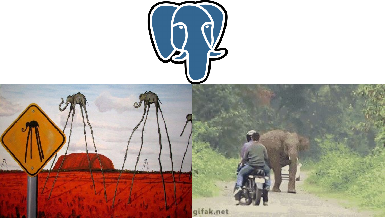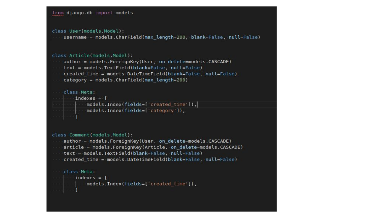```
from django.db import models
```

```
class User(models.Model):
```
username = models. CharField(max length=200, blank=False, null=False)

#### class Article(models.Model):

```
author = models. ForeignKey(User, on delete=models. CASCADE)
```

```
text = models. TextField(blank=False, null=False)
```

```
created time = models. DateTimeField(blank=False, null=False)
```

```
category = models. CharField(max length=200)
```
#### class Meta:

```
indexes = <math>\lceil</math>
```
models. Index(fields=['created time']),

```
models.Index(fields=['category']),
```
#### class Comment (models.Model):

```
author = models.ForeignKey(User, on delete=models.CASCADE)
```

```
article = models.ForeignKey(Article, on delete=models.CASCADE)
```

```
text = models. TextField(blank=False, null=False)
```

```
created time = models. DateTimeField(blank=False, null=False)
```
#### class Meta:  $indexes = [$ models. Index(fields=['created time']),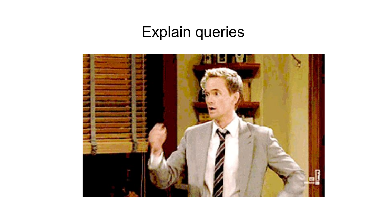# Explain queries

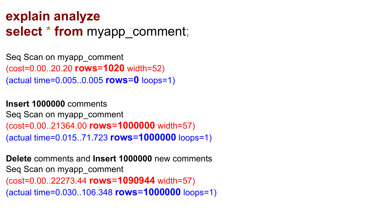## **explain analyze select** \* **from** myapp\_comment;

```
Seq Scan on myapp_comment 
(cost=0.00..20.20 rows=1020 width=52)
(actual time=0.005..0.005 rows=0 loops=1)
```
**Insert 1000000** comments Seq Scan on myapp\_comment (cost=0.00..21364.00 **rows**=**1000000** width=57) (actual time=0.015..71.723 **rows**=**1000000** loops=1)

**Delete** comments and **Insert 1000000** new comments Seq Scan on myapp\_comment (cost=0.00..22273.44 **rows**=**1090944** width=57) (actual time=0.030..106.348 **rows**=**1000000** loops=1)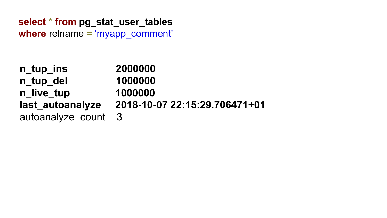**select** \* **from pg\_stat\_user\_tables where** relname = 'myapp\_comment'

**n\_tup\_ins 2000000 n\_tup\_del 1000000 n\_live\_tup 1000000 last\_autoanalyze 2018-10-07 22:15:29.706471+01** autoanalyze\_count 3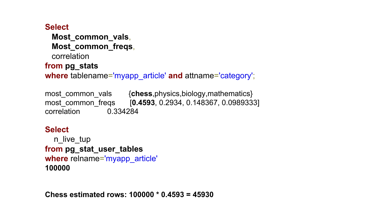### **Select**

 **Most\_common\_vals**, **Most\_common\_freqs**, correlation **from pg\_stats where** tablename='myapp\_article' **and** attname='category';

most\_common\_vals {**chess**,physics,biology,mathematics} most\_common\_freqs [**0.4593**, 0.2934, 0.148367, 0.0989333] correlation 0.334284

### **Select**

n live tup **from pg\_stat\_user\_tables where** relname='myapp\_article' **100000**

**Chess estimated rows: 100000 \* 0.4593 = 45930**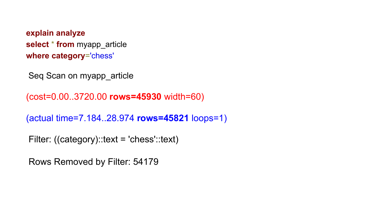**explain analyze select** \* **from** myapp\_article **where category**='chess'

Seq Scan on myapp\_article

```
(cost=0.00..3720.00 rows=45930 width=60)
```

```
(actual time=7.184..28.974 rows=45821 loops=1)
```

```
 Filter: ((category)::text = 'chess'::text)
```
Rows Removed by Filter: 54179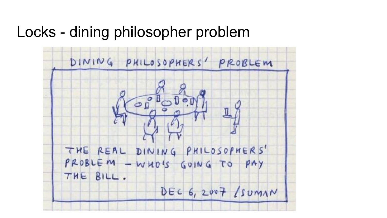# Locks - dining philosopher problem

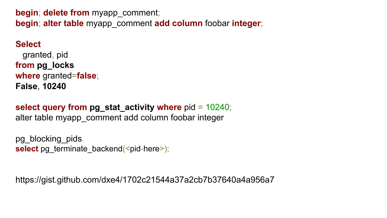**begin**; **delete from** myapp\_comment; **begin**; **alter table** myapp\_comment **add column** foobar **integer**;

### **Select**

 granted, pid **from pg\_locks where** granted=**false**; **False**, **10240**

## **select query from pg\_stat\_activity where** pid = 10240;

alter table myapp\_comment add column foobar integer

pg\_blocking\_pids **select** pg\_terminate\_backend(<pid-here>);

https://gist.github.com/dxe4/1702c21544a37a2cb7b37640a4a956a7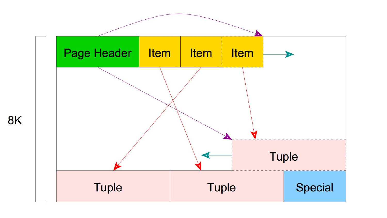

8K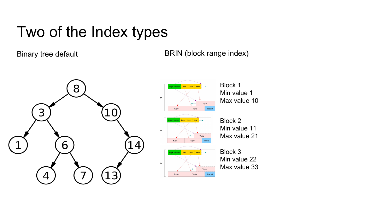# Two of the Index types

Binary tree default **BRIN** (block range index)

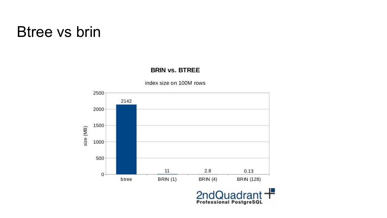## **Btree vs brin**



**BRIN vs. BTREE** 

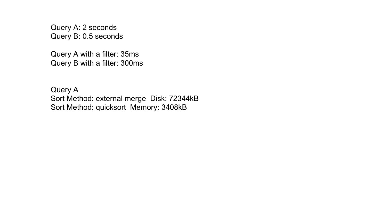Query A: 2 seconds Query B: 0.5 seconds

Query A with a filter: 35ms Query B with a filter: 300ms

Query A Sort Method: external merge Disk: 72344kB Sort Method: quicksort Memory: 3408kB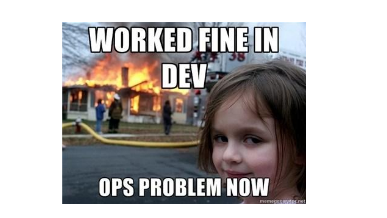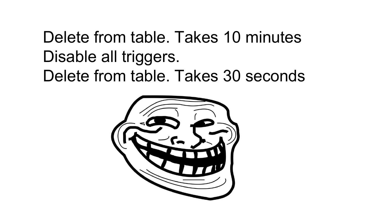# Delete from table. Takes 10 minutes Disable all triggers. Delete from table. Takes 30 seconds

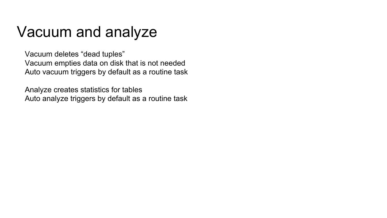# Vacuum and analyze

Vacuum deletes "dead tuples" Vacuum empties data on disk that is not needed Auto vacuum triggers by default as a routine task

Analyze creates statistics for tables Auto analyze triggers by default as a routine task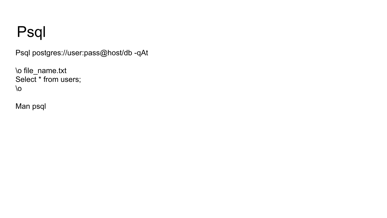# Psql

Psql postgres://user:pass@host/db -qAt

\o file\_name.txt Select<sup>\*</sup> from users; \o

Man psql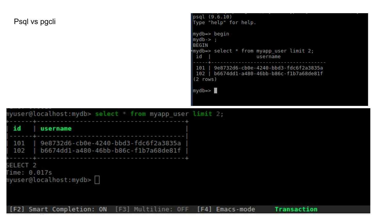

[F2] Smart Completion: ON [F3] Multiline: OFF [F4] Emacs-mode

Transaction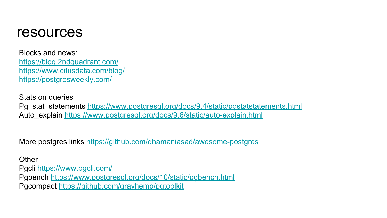## resources

Blocks and news: <https://blog.2ndquadrant.com/> <https://www.citusdata.com/blog/> <https://postgresweekly.com/>

Stats on queries Pg\_stat\_statements <https://www.postgresql.org/docs/9.4/static/pgstatstatements.html> Auto\_explain https://www.postgresgl.org/docs/9.6/static/auto-explain.html

More postgres links <https://github.com/dhamaniasad/awesome-postgres>

**Other** Pgcli <https://www.pgcli.com/> Pgbench <https://www.postgresql.org/docs/10/static/pgbench.html> Pgcompact<https://github.com/grayhemp/pgtoolkit>